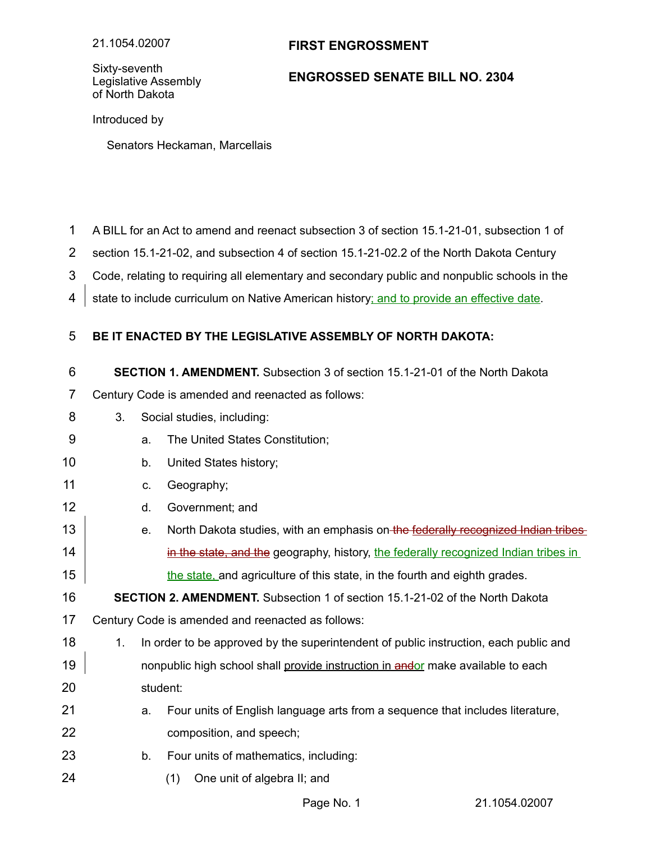## **FIRST ENGROSSMENT**

Sixty-seventh Legislative Assembly of North Dakota

## **ENGROSSED SENATE BILL NO. 2304**

Introduced by

Senators Heckaman, Marcellais

A BILL for an Act to amend and reenact subsection 3 of section 15.1-21-01, subsection 1 of 1

section 15.1-21-02, and subsection 4 of section 15.1-21-02.2 of the North Dakota Century 2

Code, relating to requiring all elementary and secondary public and nonpublic schools in the 3

state to include curriculum on Native American history; and to provide an effective date. 4

## **BE IT ENACTED BY THE LEGISLATIVE ASSEMBLY OF NORTH DAKOTA:** 5

**SECTION 1. AMENDMENT.** Subsection 3 of section 15.1-21-01 of the North Dakota 6

Century Code is amended and reenacted as follows: 7

- 3. Social studies, including: 8
- a. The United States Constitution; 9
- b. United States history; 10
- c. Geography; 11
- d. Government; and 12
- e. North Dakota studies, with an emphasis on the federally recognized Indian tribes in the state, and the geography, history, the federally recognized Indian tribes in the state, and agriculture of this state, in the fourth and eighth grades. 13 14 15

**SECTION 2. AMENDMENT.** Subsection 1 of section 15.1-21-02 of the North Dakota 16

- Century Code is amended and reenacted as follows: 17
- 1. In order to be approved by the superintendent of public instruction, each public and nonpublic high school shall provide instruction in andor make available to each student: 18 19 20
- a. Four units of English language arts from a sequence that includes literature, composition, and speech; 21 22
- b. Four units of mathematics, including: 23
- (1) One unit of algebra II; and 24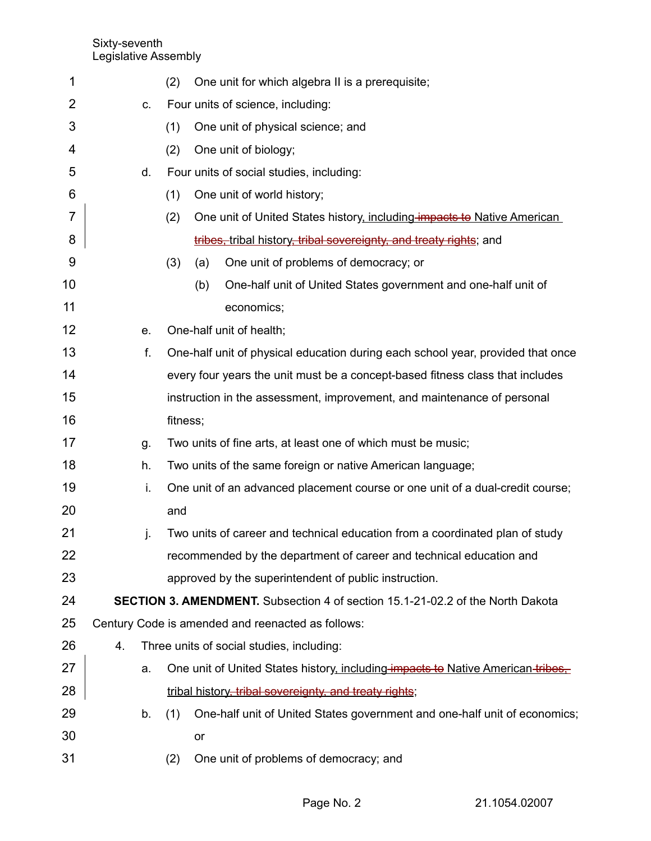| 1  |    | (2)                                                                             |     | One unit for which algebra II is a prerequisite;                                      |  |
|----|----|---------------------------------------------------------------------------------|-----|---------------------------------------------------------------------------------------|--|
| 2  | C. | Four units of science, including:                                               |     |                                                                                       |  |
| 3  |    | (1)                                                                             |     | One unit of physical science; and                                                     |  |
| 4  |    | (2)                                                                             |     | One unit of biology;                                                                  |  |
| 5  | d. | Four units of social studies, including:                                        |     |                                                                                       |  |
| 6  |    | (1)                                                                             |     | One unit of world history;                                                            |  |
| 7  |    | (2)                                                                             |     | One unit of United States history, including impacts to Native American               |  |
| 8  |    |                                                                                 |     | tribes, tribal history, tribal sovereignty, and treaty rights; and                    |  |
| 9  |    | (3)                                                                             | (a) | One unit of problems of democracy; or                                                 |  |
| 10 |    |                                                                                 | (b) | One-half unit of United States government and one-half unit of                        |  |
| 11 |    |                                                                                 |     | economics;                                                                            |  |
| 12 | е. |                                                                                 |     | One-half unit of health;                                                              |  |
| 13 | f. | One-half unit of physical education during each school year, provided that once |     |                                                                                       |  |
| 14 |    |                                                                                 |     | every four years the unit must be a concept-based fitness class that includes         |  |
| 15 |    |                                                                                 |     | instruction in the assessment, improvement, and maintenance of personal               |  |
| 16 |    | fitness;                                                                        |     |                                                                                       |  |
| 17 | g. | Two units of fine arts, at least one of which must be music;                    |     |                                                                                       |  |
| 18 | h. | Two units of the same foreign or native American language;                      |     |                                                                                       |  |
| 19 | i. | One unit of an advanced placement course or one unit of a dual-credit course;   |     |                                                                                       |  |
| 20 |    | and                                                                             |     |                                                                                       |  |
| 21 | j. |                                                                                 |     | Two units of career and technical education from a coordinated plan of study          |  |
| 22 |    |                                                                                 |     | recommended by the department of career and technical education and                   |  |
| 23 |    |                                                                                 |     | approved by the superintendent of public instruction.                                 |  |
| 24 |    |                                                                                 |     | <b>SECTION 3. AMENDMENT.</b> Subsection 4 of section 15.1-21-02.2 of the North Dakota |  |
| 25 |    |                                                                                 |     | Century Code is amended and reenacted as follows:                                     |  |
| 26 | 4. | Three units of social studies, including:                                       |     |                                                                                       |  |
| 27 | a. |                                                                                 |     | One unit of United States history, including impacts to Native American-tribes.       |  |
| 28 |    |                                                                                 |     | tribal history, tribal sovereignty, and treaty rights;                                |  |
| 29 | b. | (1)                                                                             |     | One-half unit of United States government and one-half unit of economics;             |  |
| 30 |    |                                                                                 | or  |                                                                                       |  |
| 31 |    | (2)                                                                             |     | One unit of problems of democracy; and                                                |  |